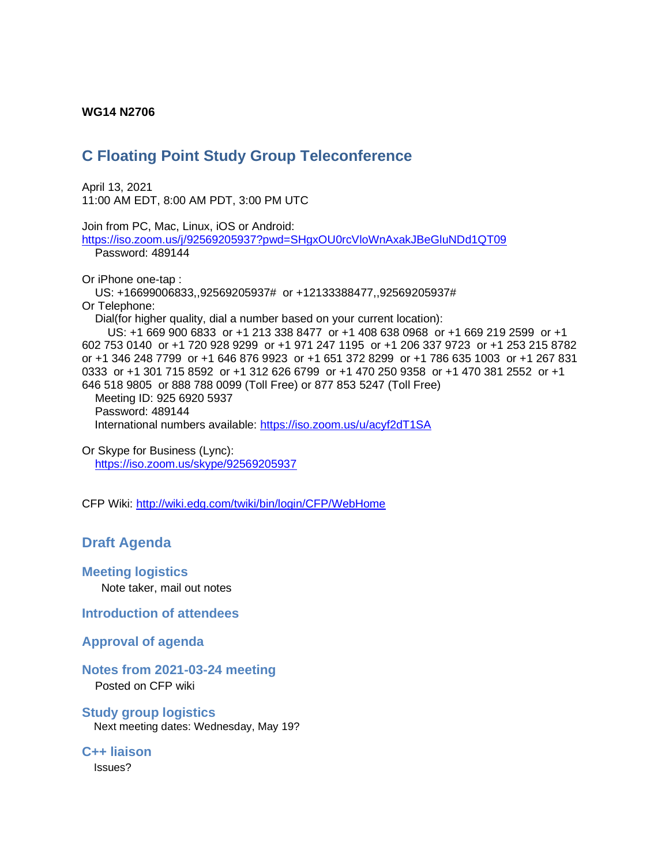#### **WG14 N2706**

# **C Floating Point Study Group Teleconference**

April 13, 2021 11:00 AM EDT, 8:00 AM PDT, 3:00 PM UTC

Join from PC, Mac, Linux, iOS or Android: <https://iso.zoom.us/j/92569205937?pwd=SHgxOU0rcVloWnAxakJBeGluNDd1QT09> Password: 489144 Or iPhone one-tap : US: +16699006833,,92569205937# or +12133388477,,92569205937# Or Telephone: Dial(for higher quality, dial a number based on your current location): US: +1 669 900 6833 or +1 213 338 8477 or +1 408 638 0968 or +1 669 219 2599 or +1 602 753 0140 or +1 720 928 9299 or +1 971 247 1195 or +1 206 337 9723 or +1 253 215 8782 or +1 346 248 7799 or +1 646 876 9923 or +1 651 372 8299 or +1 786 635 1003 or +1 267 831

0333 or +1 301 715 8592 or +1 312 626 6799 or +1 470 250 9358 or +1 470 381 2552 or +1 646 518 9805 or 888 788 0099 (Toll Free) or 877 853 5247 (Toll Free)

 Meeting ID: 925 6920 5937 Password: 489144 International numbers available:<https://iso.zoom.us/u/acyf2dT1SA>

Or Skype for Business (Lync): <https://iso.zoom.us/skype/92569205937>

CFP Wiki:<http://wiki.edg.com/twiki/bin/login/CFP/WebHome>

## **Draft Agenda**

**Meeting logistics**

Note taker, mail out notes

**Introduction of attendees**

#### **Approval of agenda**

#### **Notes from 2021-03-24 meeting**

Posted on CFP wiki

**Study group logistics** Next meeting dates: Wednesday, May 19?

**C++ liaison**

Issues?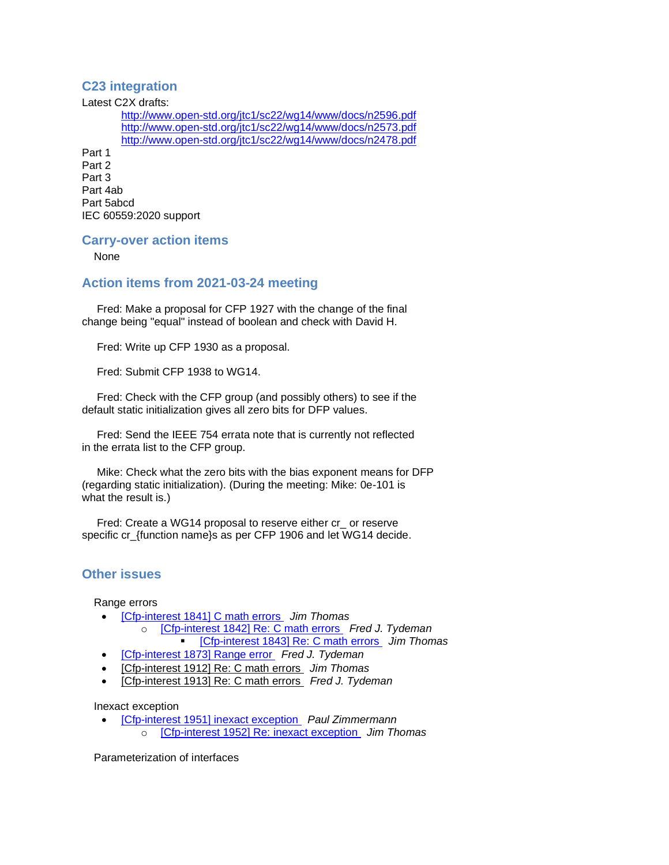### **C23 integration**

Latest C2X drafts:

<http://www.open-std.org/jtc1/sc22/wg14/www/docs/n2596.pdf> <http://www.open-std.org/jtc1/sc22/wg14/www/docs/n2573.pdf> <http://www.open-std.org/jtc1/sc22/wg14/www/docs/n2478.pdf>

Part 1 Part 2 Part 3 Part 4ab Part 5abcd IEC 60559:2020 support

#### **Carry-over action items**

None

#### **Action items from 2021-03-24 meeting**

 Fred: Make a proposal for CFP 1927 with the change of the final change being "equal" instead of boolean and check with David H.

Fred: Write up CFP 1930 as a proposal.

Fred: Submit CFP 1938 to WG14.

 Fred: Check with the CFP group (and possibly others) to see if the default static initialization gives all zero bits for DFP values.

 Fred: Send the IEEE 754 errata note that is currently not reflected in the errata list to the CFP group.

 Mike: Check what the zero bits with the bias exponent means for DFP (regarding static initialization). (During the meeting: Mike: 0e-101 is what the result is.)

 Fred: Create a WG14 proposal to reserve either cr\_ or reserve specific cr\_{function name}s as per CFP 1906 and let WG14 decide.

#### **Other issues**

Range errors

- [\[Cfp-interest 1841\] C math errors](https://mailman.oakapple.net/pipermail/cfp-interest/2020-November/001855.html) *Jim Thomas*
	- o [\[Cfp-interest 1842\] Re: C math errors](https://mailman.oakapple.net/pipermail/cfp-interest/2020-November/001856.html) *Fred J. Tydeman*
		- [\[Cfp-interest 1843\] Re: C math errors](https://mailman.oakapple.net/pipermail/cfp-interest/2020-November/001857.html) *Jim Thomas*
- [\[Cfp-interest 1873\] Range error](https://mailman.oakapple.net/pipermail/cfp-interest/2020-December/001887.html) *Fred J. Tydeman*
- [\[Cfp-interest 1912\] Re: C math errors](https://mailman.oakapple.net/pipermail/cfp-interest/2021-February/001926.html) *Jim Thomas*
- [\[Cfp-interest 1913\] Re: C math errors](https://mailman.oakapple.net/pipermail/cfp-interest/2021-February/001927.html) *Fred J. Tydeman*

Inexact exception

• [\[Cfp-interest 1951\] inexact exception](https://mailman.oakapple.net/pipermail/cfp-interest/2021-April/001965.html) *Paul Zimmermann* o [\[Cfp-interest 1952\] Re: inexact exception](https://mailman.oakapple.net/pipermail/cfp-interest/2021-April/001966.html) *Jim Thomas*

Parameterization of interfaces